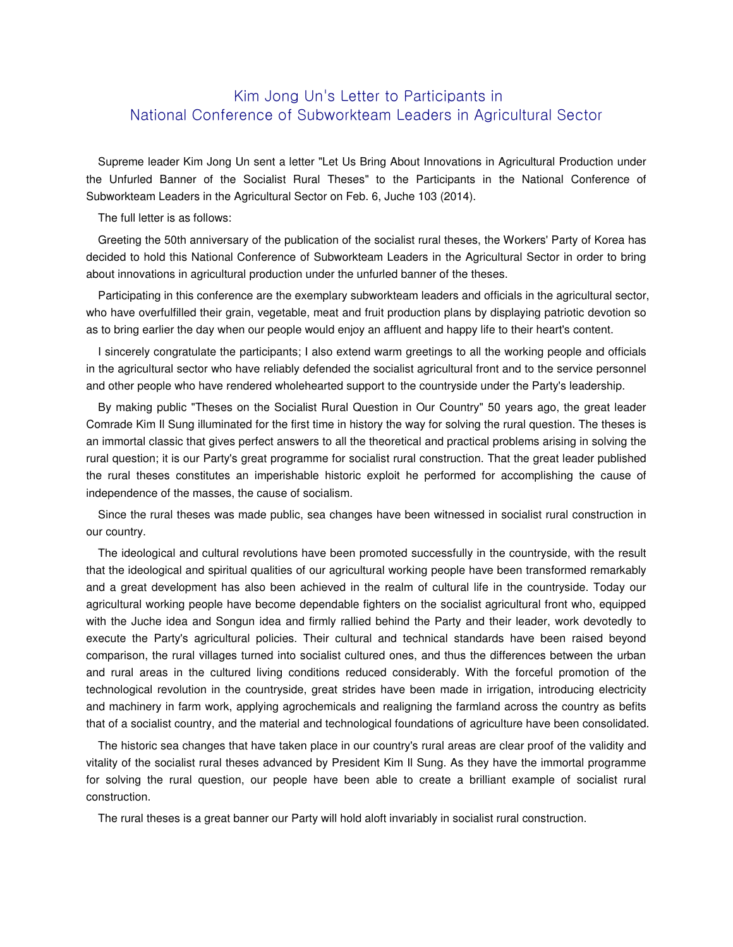# Kim Jong Un's Letter to Participants in National Conference of Subworkteam Leaders in Agricultural Sector

Supreme leader Kim Jong Un sent a letter "Let Us Bring About Innovations in Agricultural Production under the Unfurled Banner of the Socialist Rural Theses" to the Participants in the National Conference of Subworkteam Leaders in the Agricultural Sector on Feb. 6, Juche 103 (2014).

The full letter is as follows:

Greeting the 50th anniversary of the publication of the socialist rural theses, the Workers' Party of Korea has decided to hold this National Conference of Subworkteam Leaders in the Agricultural Sector in order to bring about innovations in agricultural production under the unfurled banner of the theses.

Participating in this conference are the exemplary subworkteam leaders and officials in the agricultural sector, who have overfulfilled their grain, vegetable, meat and fruit production plans by displaying patriotic devotion so as to bring earlier the day when our people would enjoy an affluent and happy life to their heart's content.

I sincerely congratulate the participants; I also extend warm greetings to all the working people and officials in the agricultural sector who have reliably defended the socialist agricultural front and to the service personnel and other people who have rendered wholehearted support to the countryside under the Party's leadership.

By making public "Theses on the Socialist Rural Question in Our Country" 50 years ago, the great leader Comrade Kim Il Sung illuminated for the first time in history the way for solving the rural question. The theses is an immortal classic that gives perfect answers to all the theoretical and practical problems arising in solving the rural question; it is our Party's great programme for socialist rural construction. That the great leader published the rural theses constitutes an imperishable historic exploit he performed for accomplishing the cause of independence of the masses, the cause of socialism.

Since the rural theses was made public, sea changes have been witnessed in socialist rural construction in our country.

The ideological and cultural revolutions have been promoted successfully in the countryside, with the result that the ideological and spiritual qualities of our agricultural working people have been transformed remarkably and a great development has also been achieved in the realm of cultural life in the countryside. Today our agricultural working people have become dependable fighters on the socialist agricultural front who, equipped with the Juche idea and Songun idea and firmly rallied behind the Party and their leader, work devotedly to execute the Party's agricultural policies. Their cultural and technical standards have been raised beyond comparison, the rural villages turned into socialist cultured ones, and thus the differences between the urban and rural areas in the cultured living conditions reduced considerably. With the forceful promotion of the technological revolution in the countryside, great strides have been made in irrigation, introducing electricity and machinery in farm work, applying agrochemicals and realigning the farmland across the country as befits that of a socialist country, and the material and technological foundations of agriculture have been consolidated.

The historic sea changes that have taken place in our country's rural areas are clear proof of the validity and vitality of the socialist rural theses advanced by President Kim Il Sung. As they have the immortal programme for solving the rural question, our people have been able to create a brilliant example of socialist rural construction.

The rural theses is a great banner our Party will hold aloft invariably in socialist rural construction.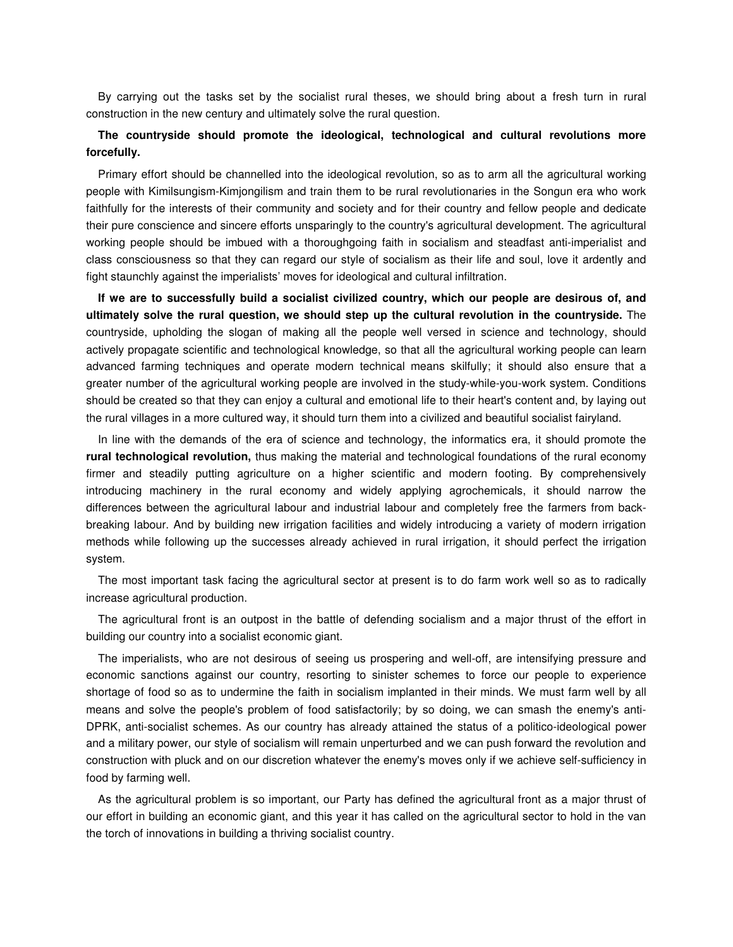By carrying out the tasks set by the socialist rural theses, we should bring about a fresh turn in rural construction in the new century and ultimately solve the rural question.

# **The countryside should promote the ideological, technological and cultural revolutions more forcefully.**

Primary effort should be channelled into the ideological revolution, so as to arm all the agricultural working people with Kimilsungism-Kimjongilism and train them to be rural revolutionaries in the Songun era who work faithfully for the interests of their community and society and for their country and fellow people and dedicate their pure conscience and sincere efforts unsparingly to the country's agricultural development. The agricultural working people should be imbued with a thoroughgoing faith in socialism and steadfast anti-imperialist and class consciousness so that they can regard our style of socialism as their life and soul, love it ardently and fight staunchly against the imperialists' moves for ideological and cultural infiltration.

**If we are to successfully build a socialist civilized country, which our people are desirous of, and ultimately solve the rural question, we should step up the cultural revolution in the countryside.** The countryside, upholding the slogan of making all the people well versed in science and technology, should actively propagate scientific and technological knowledge, so that all the agricultural working people can learn advanced farming techniques and operate modern technical means skilfully; it should also ensure that a greater number of the agricultural working people are involved in the study-while-you-work system. Conditions should be created so that they can enjoy a cultural and emotional life to their heart's content and, by laying out the rural villages in a more cultured way, it should turn them into a civilized and beautiful socialist fairyland.

In line with the demands of the era of science and technology, the informatics era, it should promote the **rural technological revolution,** thus making the material and technological foundations of the rural economy firmer and steadily putting agriculture on a higher scientific and modern footing. By comprehensively introducing machinery in the rural economy and widely applying agrochemicals, it should narrow the differences between the agricultural labour and industrial labour and completely free the farmers from backbreaking labour. And by building new irrigation facilities and widely introducing a variety of modern irrigation methods while following up the successes already achieved in rural irrigation, it should perfect the irrigation system.

The most important task facing the agricultural sector at present is to do farm work well so as to radically increase agricultural production.

The agricultural front is an outpost in the battle of defending socialism and a major thrust of the effort in building our country into a socialist economic giant.

The imperialists, who are not desirous of seeing us prospering and well-off, are intensifying pressure and economic sanctions against our country, resorting to sinister schemes to force our people to experience shortage of food so as to undermine the faith in socialism implanted in their minds. We must farm well by all means and solve the people's problem of food satisfactorily; by so doing, we can smash the enemy's anti-DPRK, anti-socialist schemes. As our country has already attained the status of a politico-ideological power and a military power, our style of socialism will remain unperturbed and we can push forward the revolution and construction with pluck and on our discretion whatever the enemy's moves only if we achieve self-sufficiency in food by farming well.

As the agricultural problem is so important, our Party has defined the agricultural front as a major thrust of our effort in building an economic giant, and this year it has called on the agricultural sector to hold in the van the torch of innovations in building a thriving socialist country.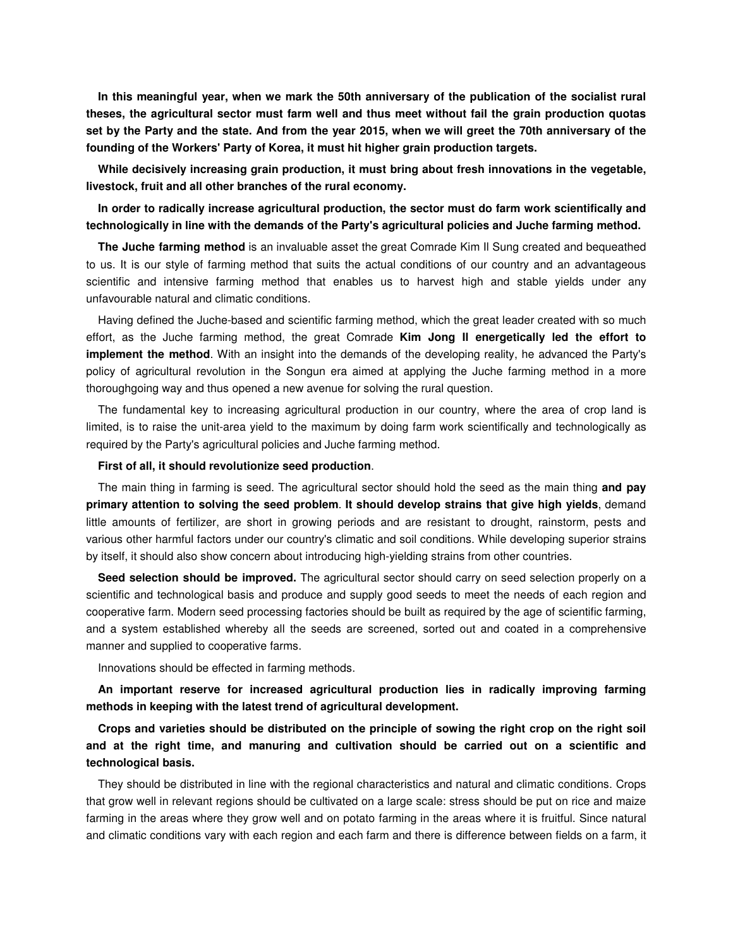**In this meaningful year, when we mark the 50th anniversary of the publication of the socialist rural theses, the agricultural sector must farm well and thus meet without fail the grain production quotas set by the Party and the state. And from the year 2015, when we will greet the 70th anniversary of the founding of the Workers' Party of Korea, it must hit higher grain production targets.** 

**While decisively increasing grain production, it must bring about fresh innovations in the vegetable, livestock, fruit and all other branches of the rural economy.** 

### **In order to radically increase agricultural production, the sector must do farm work scientifically and technologically in line with the demands of the Party's agricultural policies and Juche farming method.**

**The Juche farming method** is an invaluable asset the great Comrade Kim Il Sung created and bequeathed to us. It is our style of farming method that suits the actual conditions of our country and an advantageous scientific and intensive farming method that enables us to harvest high and stable yields under any unfavourable natural and climatic conditions.

Having defined the Juche-based and scientific farming method, which the great leader created with so much effort, as the Juche farming method, the great Comrade **Kim Jong Il energetically led the effort to implement the method**. With an insight into the demands of the developing reality, he advanced the Party's policy of agricultural revolution in the Songun era aimed at applying the Juche farming method in a more thoroughgoing way and thus opened a new avenue for solving the rural question.

The fundamental key to increasing agricultural production in our country, where the area of crop land is limited, is to raise the unit-area yield to the maximum by doing farm work scientifically and technologically as required by the Party's agricultural policies and Juche farming method.

#### **First of all, it should revolutionize seed production**.

The main thing in farming is seed. The agricultural sector should hold the seed as the main thing **and pay primary attention to solving the seed problem**. **It should develop strains that give high yields**, demand little amounts of fertilizer, are short in growing periods and are resistant to drought, rainstorm, pests and various other harmful factors under our country's climatic and soil conditions. While developing superior strains by itself, it should also show concern about introducing high-yielding strains from other countries.

**Seed selection should be improved.** The agricultural sector should carry on seed selection properly on a scientific and technological basis and produce and supply good seeds to meet the needs of each region and cooperative farm. Modern seed processing factories should be built as required by the age of scientific farming, and a system established whereby all the seeds are screened, sorted out and coated in a comprehensive manner and supplied to cooperative farms.

Innovations should be effected in farming methods.

**An important reserve for increased agricultural production lies in radically improving farming methods in keeping with the latest trend of agricultural development.** 

# **Crops and varieties should be distributed on the principle of sowing the right crop on the right soil and at the right time, and manuring and cultivation should be carried out on a scientific and technological basis.**

They should be distributed in line with the regional characteristics and natural and climatic conditions. Crops that grow well in relevant regions should be cultivated on a large scale: stress should be put on rice and maize farming in the areas where they grow well and on potato farming in the areas where it is fruitful. Since natural and climatic conditions vary with each region and each farm and there is difference between fields on a farm, it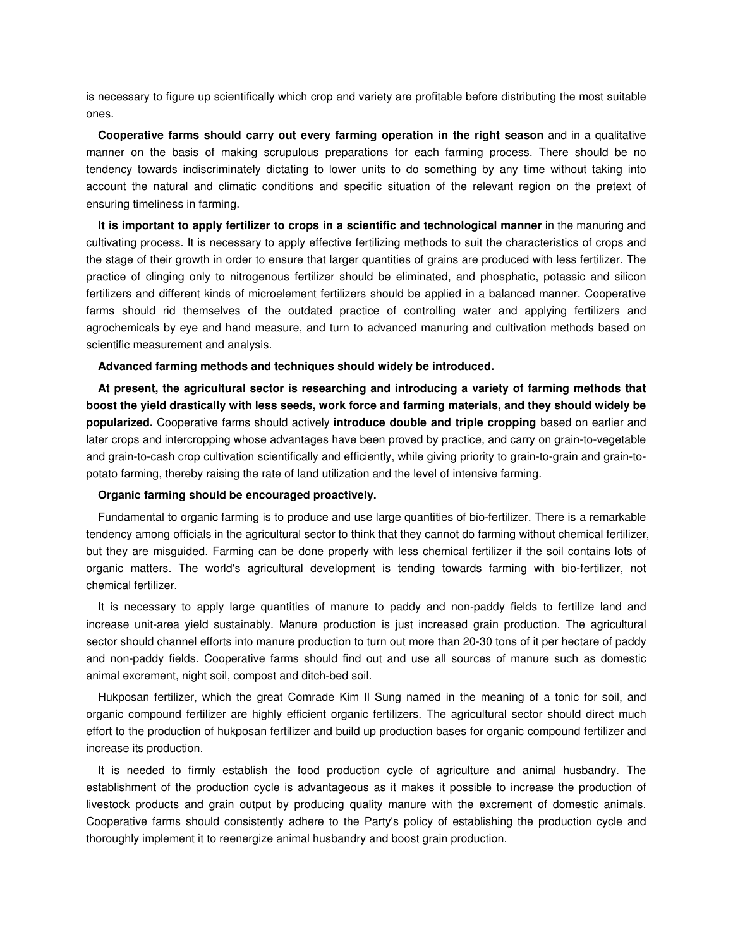is necessary to figure up scientifically which crop and variety are profitable before distributing the most suitable ones.

**Cooperative farms should carry out every farming operation in the right season** and in a qualitative manner on the basis of making scrupulous preparations for each farming process. There should be no tendency towards indiscriminately dictating to lower units to do something by any time without taking into account the natural and climatic conditions and specific situation of the relevant region on the pretext of ensuring timeliness in farming.

**It is important to apply fertilizer to crops in a scientific and technological manner** in the manuring and cultivating process. It is necessary to apply effective fertilizing methods to suit the characteristics of crops and the stage of their growth in order to ensure that larger quantities of grains are produced with less fertilizer. The practice of clinging only to nitrogenous fertilizer should be eliminated, and phosphatic, potassic and silicon fertilizers and different kinds of microelement fertilizers should be applied in a balanced manner. Cooperative farms should rid themselves of the outdated practice of controlling water and applying fertilizers and agrochemicals by eye and hand measure, and turn to advanced manuring and cultivation methods based on scientific measurement and analysis.

#### **Advanced farming methods and techniques should widely be introduced.**

**At present, the agricultural sector is researching and introducing a variety of farming methods that boost the yield drastically with less seeds, work force and farming materials, and they should widely be popularized.** Cooperative farms should actively **introduce double and triple cropping** based on earlier and later crops and intercropping whose advantages have been proved by practice, and carry on grain-to-vegetable and grain-to-cash crop cultivation scientifically and efficiently, while giving priority to grain-to-grain and grain-topotato farming, thereby raising the rate of land utilization and the level of intensive farming.

#### **Organic farming should be encouraged proactively.**

Fundamental to organic farming is to produce and use large quantities of bio-fertilizer. There is a remarkable tendency among officials in the agricultural sector to think that they cannot do farming without chemical fertilizer, but they are misguided. Farming can be done properly with less chemical fertilizer if the soil contains lots of organic matters. The world's agricultural development is tending towards farming with bio-fertilizer, not chemical fertilizer.

It is necessary to apply large quantities of manure to paddy and non-paddy fields to fertilize land and increase unit-area yield sustainably. Manure production is just increased grain production. The agricultural sector should channel efforts into manure production to turn out more than 20-30 tons of it per hectare of paddy and non-paddy fields. Cooperative farms should find out and use all sources of manure such as domestic animal excrement, night soil, compost and ditch-bed soil.

Hukposan fertilizer, which the great Comrade Kim Il Sung named in the meaning of a tonic for soil, and organic compound fertilizer are highly efficient organic fertilizers. The agricultural sector should direct much effort to the production of hukposan fertilizer and build up production bases for organic compound fertilizer and increase its production.

It is needed to firmly establish the food production cycle of agriculture and animal husbandry. The establishment of the production cycle is advantageous as it makes it possible to increase the production of livestock products and grain output by producing quality manure with the excrement of domestic animals. Cooperative farms should consistently adhere to the Party's policy of establishing the production cycle and thoroughly implement it to reenergize animal husbandry and boost grain production.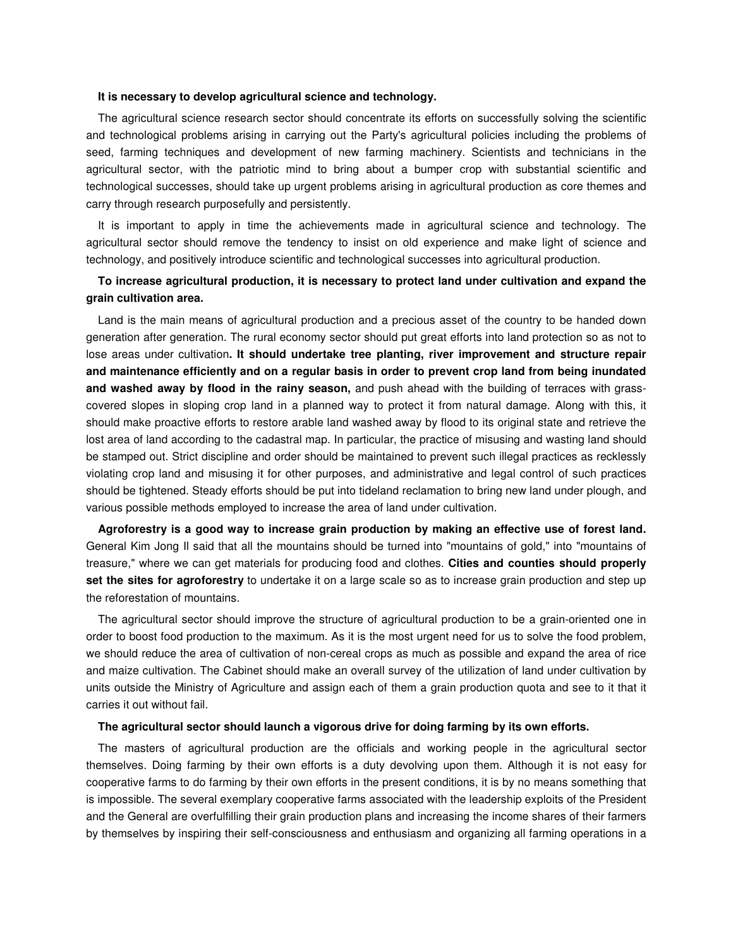#### **It is necessary to develop agricultural science and technology.**

The agricultural science research sector should concentrate its efforts on successfully solving the scientific and technological problems arising in carrying out the Party's agricultural policies including the problems of seed, farming techniques and development of new farming machinery. Scientists and technicians in the agricultural sector, with the patriotic mind to bring about a bumper crop with substantial scientific and technological successes, should take up urgent problems arising in agricultural production as core themes and carry through research purposefully and persistently.

It is important to apply in time the achievements made in agricultural science and technology. The agricultural sector should remove the tendency to insist on old experience and make light of science and technology, and positively introduce scientific and technological successes into agricultural production.

# **To increase agricultural production, it is necessary to protect land under cultivation and expand the grain cultivation area.**

Land is the main means of agricultural production and a precious asset of the country to be handed down generation after generation. The rural economy sector should put great efforts into land protection so as not to lose areas under cultivation**. It should undertake tree planting, river improvement and structure repair and maintenance efficiently and on a regular basis in order to prevent crop land from being inundated and washed away by flood in the rainy season,** and push ahead with the building of terraces with grasscovered slopes in sloping crop land in a planned way to protect it from natural damage. Along with this, it should make proactive efforts to restore arable land washed away by flood to its original state and retrieve the lost area of land according to the cadastral map. In particular, the practice of misusing and wasting land should be stamped out. Strict discipline and order should be maintained to prevent such illegal practices as recklessly violating crop land and misusing it for other purposes, and administrative and legal control of such practices should be tightened. Steady efforts should be put into tideland reclamation to bring new land under plough, and various possible methods employed to increase the area of land under cultivation.

**Agroforestry is a good way to increase grain production by making an effective use of forest land.**  General Kim Jong Il said that all the mountains should be turned into "mountains of gold," into "mountains of treasure," where we can get materials for producing food and clothes. **Cities and counties should properly set the sites for agroforestry** to undertake it on a large scale so as to increase grain production and step up the reforestation of mountains.

The agricultural sector should improve the structure of agricultural production to be a grain-oriented one in order to boost food production to the maximum. As it is the most urgent need for us to solve the food problem, we should reduce the area of cultivation of non-cereal crops as much as possible and expand the area of rice and maize cultivation. The Cabinet should make an overall survey of the utilization of land under cultivation by units outside the Ministry of Agriculture and assign each of them a grain production quota and see to it that it carries it out without fail.

#### **The agricultural sector should launch a vigorous drive for doing farming by its own efforts.**

The masters of agricultural production are the officials and working people in the agricultural sector themselves. Doing farming by their own efforts is a duty devolving upon them. Although it is not easy for cooperative farms to do farming by their own efforts in the present conditions, it is by no means something that is impossible. The several exemplary cooperative farms associated with the leadership exploits of the President and the General are overfulfilling their grain production plans and increasing the income shares of their farmers by themselves by inspiring their self-consciousness and enthusiasm and organizing all farming operations in a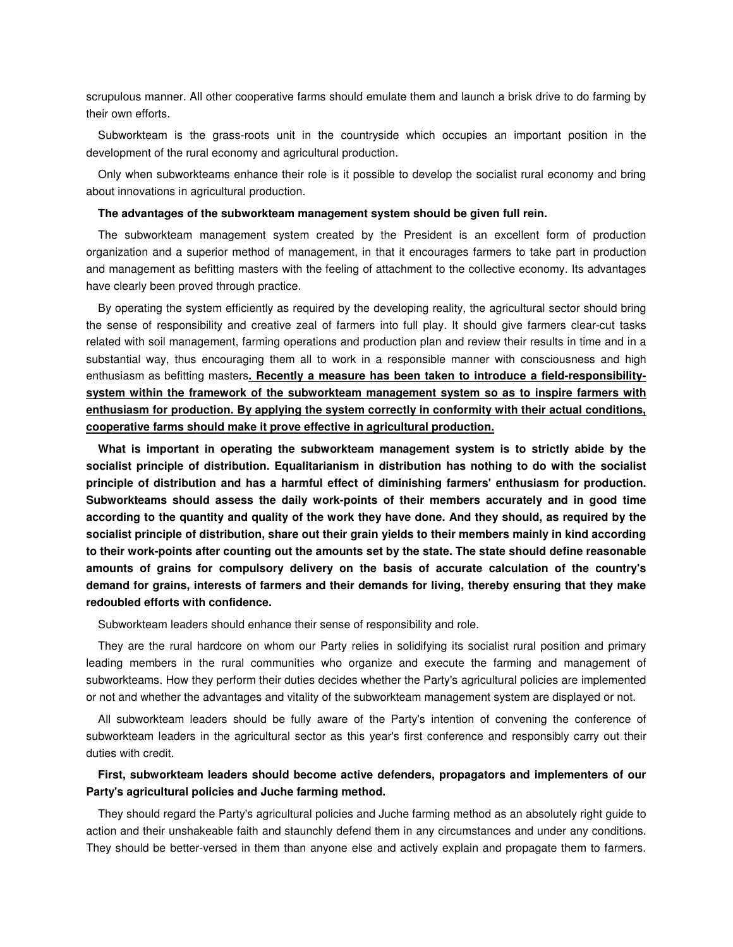scrupulous manner. All other cooperative farms should emulate them and launch a brisk drive to do farming by their own efforts.

Subworkteam is the grass-roots unit in the countryside which occupies an important position in the development of the rural economy and agricultural production.

Only when subworkteams enhance their role is it possible to develop the socialist rural economy and bring about innovations in agricultural production.

#### **The advantages of the subworkteam management system should be given full rein.**

The subworkteam management system created by the President is an excellent form of production organization and a superior method of management, in that it encourages farmers to take part in production and management as befitting masters with the feeling of attachment to the collective economy. Its advantages have clearly been proved through practice.

By operating the system efficiently as required by the developing reality, the agricultural sector should bring the sense of responsibility and creative zeal of farmers into full play. It should give farmers clear-cut tasks related with soil management, farming operations and production plan and review their results in time and in a substantial way, thus encouraging them all to work in a responsible manner with consciousness and high enthusiasm as befitting masters**. Recently a measure has been taken to introduce a field-responsibilitysystem within the framework of the subworkteam management system so as to inspire farmers with enthusiasm for production. By applying the system correctly in conformity with their actual conditions, cooperative farms should make it prove effective in agricultural production.**

**What is important in operating the subworkteam management system is to strictly abide by the socialist principle of distribution. Equalitarianism in distribution has nothing to do with the socialist principle of distribution and has a harmful effect of diminishing farmers' enthusiasm for production. Subworkteams should assess the daily work-points of their members accurately and in good time according to the quantity and quality of the work they have done. And they should, as required by the socialist principle of distribution, share out their grain yields to their members mainly in kind according to their work-points after counting out the amounts set by the state. The state should define reasonable amounts of grains for compulsory delivery on the basis of accurate calculation of the country's demand for grains, interests of farmers and their demands for living, thereby ensuring that they make redoubled efforts with confidence.** 

Subworkteam leaders should enhance their sense of responsibility and role.

They are the rural hardcore on whom our Party relies in solidifying its socialist rural position and primary leading members in the rural communities who organize and execute the farming and management of subworkteams. How they perform their duties decides whether the Party's agricultural policies are implemented or not and whether the advantages and vitality of the subworkteam management system are displayed or not.

All subworkteam leaders should be fully aware of the Party's intention of convening the conference of subworkteam leaders in the agricultural sector as this year's first conference and responsibly carry out their duties with credit.

# **First, subworkteam leaders should become active defenders, propagators and implementers of our Party's agricultural policies and Juche farming method.**

They should regard the Party's agricultural policies and Juche farming method as an absolutely right guide to action and their unshakeable faith and staunchly defend them in any circumstances and under any conditions. They should be better-versed in them than anyone else and actively explain and propagate them to farmers.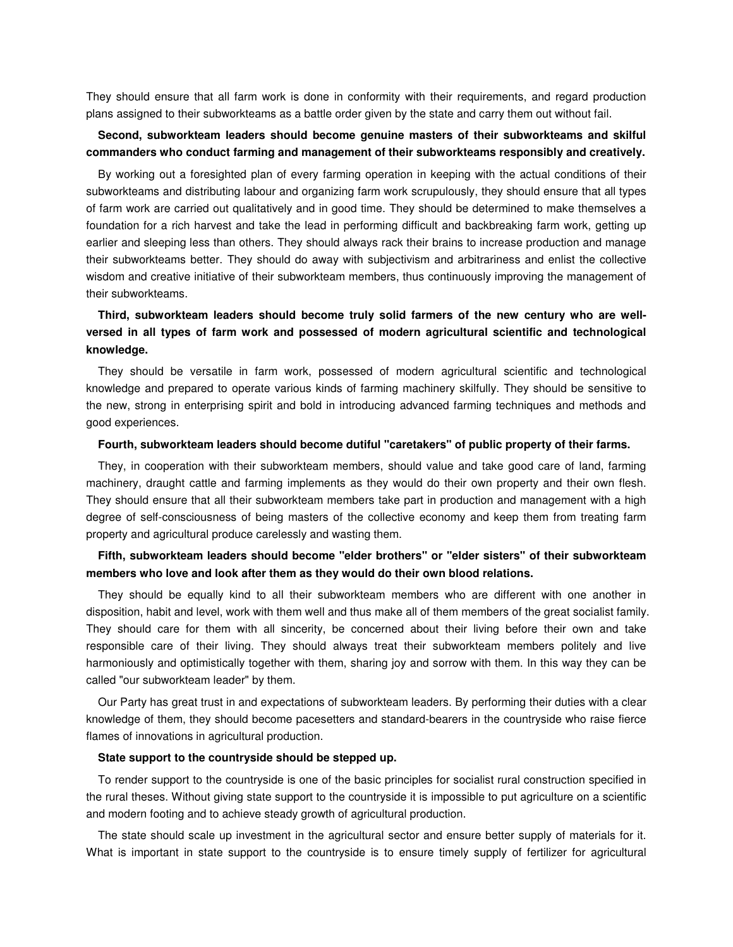They should ensure that all farm work is done in conformity with their requirements, and regard production plans assigned to their subworkteams as a battle order given by the state and carry them out without fail.

### **Second, subworkteam leaders should become genuine masters of their subworkteams and skilful commanders who conduct farming and management of their subworkteams responsibly and creatively.**

By working out a foresighted plan of every farming operation in keeping with the actual conditions of their subworkteams and distributing labour and organizing farm work scrupulously, they should ensure that all types of farm work are carried out qualitatively and in good time. They should be determined to make themselves a foundation for a rich harvest and take the lead in performing difficult and backbreaking farm work, getting up earlier and sleeping less than others. They should always rack their brains to increase production and manage their subworkteams better. They should do away with subjectivism and arbitrariness and enlist the collective wisdom and creative initiative of their subworkteam members, thus continuously improving the management of their subworkteams.

# **Third, subworkteam leaders should become truly solid farmers of the new century who are wellversed in all types of farm work and possessed of modern agricultural scientific and technological knowledge.**

They should be versatile in farm work, possessed of modern agricultural scientific and technological knowledge and prepared to operate various kinds of farming machinery skilfully. They should be sensitive to the new, strong in enterprising spirit and bold in introducing advanced farming techniques and methods and good experiences.

#### **Fourth, subworkteam leaders should become dutiful "caretakers" of public property of their farms.**

They, in cooperation with their subworkteam members, should value and take good care of land, farming machinery, draught cattle and farming implements as they would do their own property and their own flesh. They should ensure that all their subworkteam members take part in production and management with a high degree of self-consciousness of being masters of the collective economy and keep them from treating farm property and agricultural produce carelessly and wasting them.

### **Fifth, subworkteam leaders should become "elder brothers" or "elder sisters" of their subworkteam members who love and look after them as they would do their own blood relations.**

They should be equally kind to all their subworkteam members who are different with one another in disposition, habit and level, work with them well and thus make all of them members of the great socialist family. They should care for them with all sincerity, be concerned about their living before their own and take responsible care of their living. They should always treat their subworkteam members politely and live harmoniously and optimistically together with them, sharing joy and sorrow with them. In this way they can be called "our subworkteam leader" by them.

Our Party has great trust in and expectations of subworkteam leaders. By performing their duties with a clear knowledge of them, they should become pacesetters and standard-bearers in the countryside who raise fierce flames of innovations in agricultural production.

#### **State support to the countryside should be stepped up.**

To render support to the countryside is one of the basic principles for socialist rural construction specified in the rural theses. Without giving state support to the countryside it is impossible to put agriculture on a scientific and modern footing and to achieve steady growth of agricultural production.

The state should scale up investment in the agricultural sector and ensure better supply of materials for it. What is important in state support to the countryside is to ensure timely supply of fertilizer for agricultural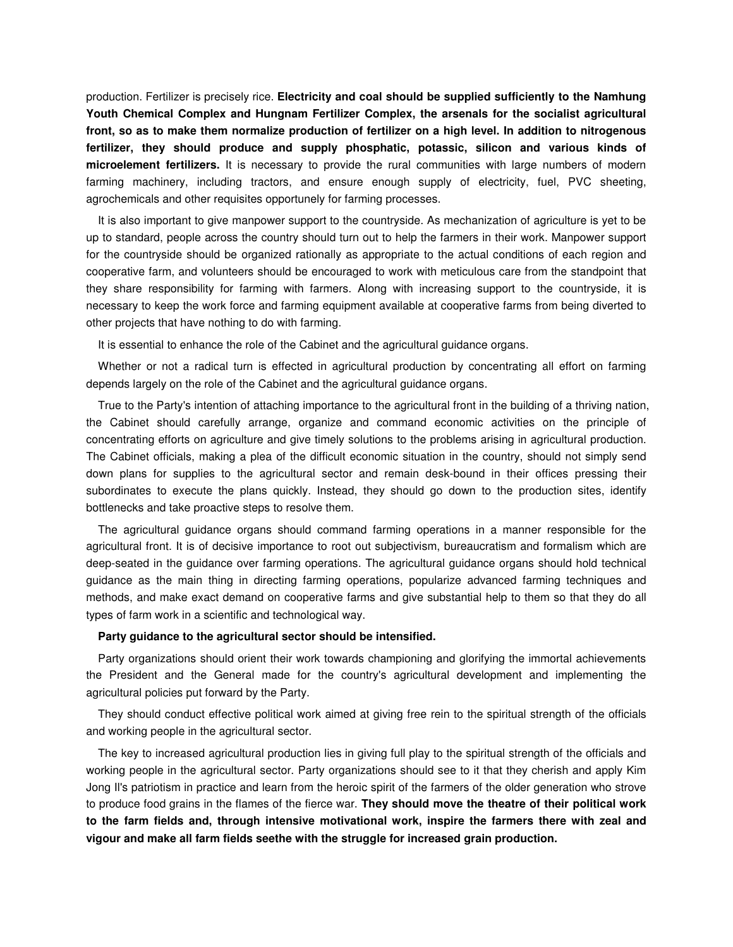production. Fertilizer is precisely rice. **Electricity and coal should be supplied sufficiently to the Namhung Youth Chemical Complex and Hungnam Fertilizer Complex, the arsenals for the socialist agricultural front, so as to make them normalize production of fertilizer on a high level. In addition to nitrogenous fertilizer, they should produce and supply phosphatic, potassic, silicon and various kinds of microelement fertilizers.** It is necessary to provide the rural communities with large numbers of modern farming machinery, including tractors, and ensure enough supply of electricity, fuel, PVC sheeting, agrochemicals and other requisites opportunely for farming processes.

It is also important to give manpower support to the countryside. As mechanization of agriculture is yet to be up to standard, people across the country should turn out to help the farmers in their work. Manpower support for the countryside should be organized rationally as appropriate to the actual conditions of each region and cooperative farm, and volunteers should be encouraged to work with meticulous care from the standpoint that they share responsibility for farming with farmers. Along with increasing support to the countryside, it is necessary to keep the work force and farming equipment available at cooperative farms from being diverted to other projects that have nothing to do with farming.

It is essential to enhance the role of the Cabinet and the agricultural guidance organs.

Whether or not a radical turn is effected in agricultural production by concentrating all effort on farming depends largely on the role of the Cabinet and the agricultural guidance organs.

True to the Party's intention of attaching importance to the agricultural front in the building of a thriving nation, the Cabinet should carefully arrange, organize and command economic activities on the principle of concentrating efforts on agriculture and give timely solutions to the problems arising in agricultural production. The Cabinet officials, making a plea of the difficult economic situation in the country, should not simply send down plans for supplies to the agricultural sector and remain desk-bound in their offices pressing their subordinates to execute the plans quickly. Instead, they should go down to the production sites, identify bottlenecks and take proactive steps to resolve them.

The agricultural guidance organs should command farming operations in a manner responsible for the agricultural front. It is of decisive importance to root out subjectivism, bureaucratism and formalism which are deep-seated in the guidance over farming operations. The agricultural guidance organs should hold technical guidance as the main thing in directing farming operations, popularize advanced farming techniques and methods, and make exact demand on cooperative farms and give substantial help to them so that they do all types of farm work in a scientific and technological way.

#### **Party guidance to the agricultural sector should be intensified.**

Party organizations should orient their work towards championing and glorifying the immortal achievements the President and the General made for the country's agricultural development and implementing the agricultural policies put forward by the Party.

They should conduct effective political work aimed at giving free rein to the spiritual strength of the officials and working people in the agricultural sector.

The key to increased agricultural production lies in giving full play to the spiritual strength of the officials and working people in the agricultural sector. Party organizations should see to it that they cherish and apply Kim Jong Il's patriotism in practice and learn from the heroic spirit of the farmers of the older generation who strove to produce food grains in the flames of the fierce war. **They should move the theatre of their political work to the farm fields and, through intensive motivational work, inspire the farmers there with zeal and vigour and make all farm fields seethe with the struggle for increased grain production.**